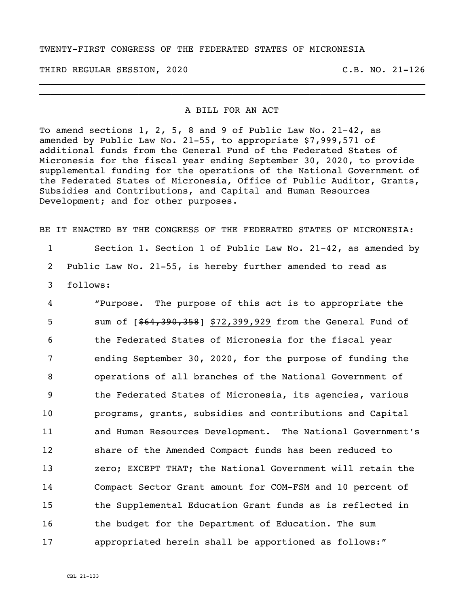## TWENTY-FIRST CONGRESS OF THE FEDERATED STATES OF MICRONESIA

THIRD REGULAR SESSION, 2020 C.B. NO. 21-126

## A BILL FOR AN ACT

\_\_\_\_\_\_\_\_\_\_\_\_\_\_\_\_\_\_\_\_\_\_\_\_\_\_\_\_\_\_\_\_\_\_\_\_\_\_\_\_\_\_\_\_\_\_\_\_\_\_\_\_\_\_\_\_\_\_\_\_\_\_\_\_\_\_\_\_\_\_ \_\_\_\_\_\_\_\_\_\_\_\_\_\_\_\_\_\_\_\_\_\_\_\_\_\_\_\_\_\_\_\_\_\_\_\_\_\_\_\_\_\_\_\_\_\_\_\_\_\_\_\_\_\_\_\_\_\_\_\_\_\_\_\_\_\_\_\_\_\_

To amend sections 1, 2, 5, 8 and 9 of Public Law No. 21-42, as amended by Public Law No. 21-55, to appropriate \$7,999,571 of additional funds from the General Fund of the Federated States of Micronesia for the fiscal year ending September 30, 2020, to provide supplemental funding for the operations of the National Government of the Federated States of Micronesia, Office of Public Auditor, Grants, Subsidies and Contributions, and Capital and Human Resources Development; and for other purposes.

BE IT ENACTED BY THE CONGRESS OF THE FEDERATED STATES OF MICRONESIA:

1 Section 1. Section 1 of Public Law No. 21-42, as amended by 2 Public Law No. 21-55, is hereby further amended to read as

3 follows:

 "Purpose. The purpose of this act is to appropriate the 5 sum of  $[$ \$64,390,358] \$72,399,929 from the General Fund of the Federated States of Micronesia for the fiscal year ending September 30, 2020, for the purpose of funding the operations of all branches of the National Government of the Federated States of Micronesia, its agencies, various programs, grants, subsidies and contributions and Capital and Human Resources Development. The National Government's share of the Amended Compact funds has been reduced to zero; EXCEPT THAT; the National Government will retain the Compact Sector Grant amount for COM-FSM and 10 percent of the Supplemental Education Grant funds as is reflected in 16 the budget for the Department of Education. The sum appropriated herein shall be apportioned as follows:"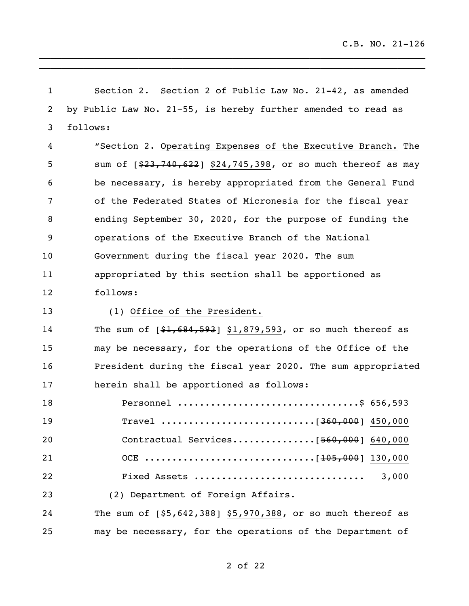| $\mathbf 1$ | Section 2 of Public Law No. 21-42, as amended<br>Section 2.   |
|-------------|---------------------------------------------------------------|
| 2           | by Public Law No. 21-55, is hereby further amended to read as |
| 3           | follows:                                                      |
| 4           | "Section 2. Operating Expenses of the Executive Branch. The   |
| 5           | sum of [\$23,740,622] \$24,745,398, or so much thereof as may |
| 6           | be necessary, is hereby appropriated from the General Fund    |
| 7           | of the Federated States of Micronesia for the fiscal year     |
| 8           | ending September 30, 2020, for the purpose of funding the     |
| 9           | operations of the Executive Branch of the National            |
| 10          | Government during the fiscal year 2020. The sum               |
| 11          | appropriated by this section shall be apportioned as          |
| 12          | follows:                                                      |
| 13          | (1) Office of the President.                                  |
| 14          | The sum of $[$1,684,593]$ \$1,879,593, or so much thereof as  |
| 15          | may be necessary, for the operations of the Office of the     |
| 16          | President during the fiscal year 2020. The sum appropriated   |
| 17          | herein shall be apportioned as follows:                       |
| 18          | Personnel \$ 656,593                                          |
| 19          |                                                               |
| 20          | Contractual Services [560,000] 640,000                        |
| 21          |                                                               |
| 22          | Fixed Assets<br>3,000                                         |
| 23          | (2) Department of Foreign Affairs.                            |
| 24          | The sum of $[$5,642,388]$ \$5,970,388, or so much thereof as  |
| 25          | may be necessary, for the operations of the Department of     |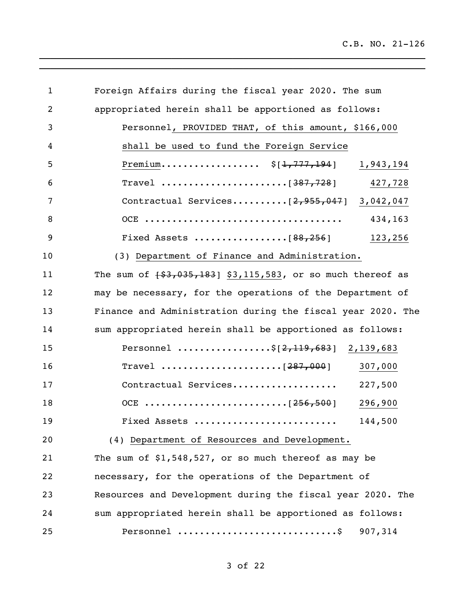| 1  | Foreign Affairs during the fiscal year 2020. The sum            |
|----|-----------------------------------------------------------------|
| 2  | appropriated herein shall be apportioned as follows:            |
| 3  | Personnel, PROVIDED THAT, of this amount, \$166,000             |
| 4  | shall be used to fund the Foreign Service                       |
| 5  | Premium $$[1,777,194]$ 1,943,194                                |
| 6  | 427,728                                                         |
| 7  | Contractual Services $[2, 955, 047]$ 3,042,047                  |
| 8  | 434,163                                                         |
| 9  | Fixed Assets [88,256]<br>123,256                                |
| 10 | (3) Department of Finance and Administration.                   |
| 11 | The sum of $\{3, 035, 183\}$ \$3,115,583, or so much thereof as |
| 12 | may be necessary, for the operations of the Department of       |
| 13 | Finance and Administration during the fiscal year 2020. The     |
| 14 | sum appropriated herein shall be apportioned as follows:        |
| 15 | Personnel \$[2,119,683] 2,139,683                               |
| 16 | 307,000                                                         |
| 17 | Contractual Services<br>227,500                                 |
| 18 | 296,900                                                         |
| 19 | 144,500<br>Fixed Assets                                         |
| 20 | (4) Department of Resources and Development.                    |
| 21 | The sum of $$1,548,527$ , or so much thereof as may be          |
| 22 | necessary, for the operations of the Department of              |
| 23 | Resources and Development during the fiscal year 2020. The      |
| 24 | sum appropriated herein shall be apportioned as follows:        |
| 25 | Personnel \$<br>907,314                                         |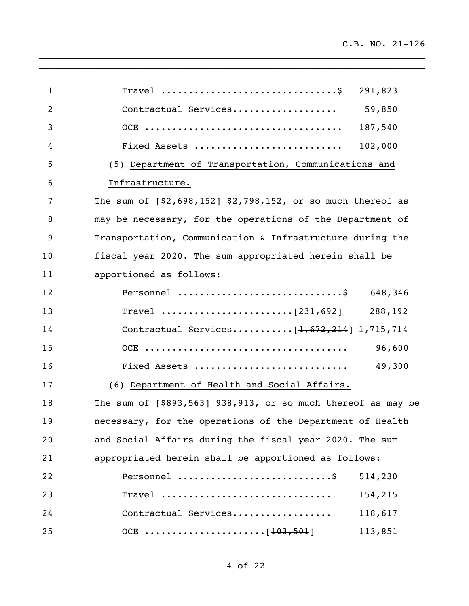| $\mathbf{1}$ | 291,823                                                         |
|--------------|-----------------------------------------------------------------|
| 2            | 59,850<br>Contractual Services                                  |
| 3            | 187,540                                                         |
| 4            | 102,000<br>Fixed Assets                                         |
| 5            | (5) Department of Transportation, Communications and            |
| 6            | Infrastructure.                                                 |
| 7            | The sum of $[$2,698,152]$ \$2,798,152, or so much thereof as    |
| 8            | may be necessary, for the operations of the Department of       |
| 9            | Transportation, Communication & Infrastructure during the       |
| 10           | fiscal year 2020. The sum appropriated herein shall be          |
| 11           | apportioned as follows:                                         |
| 12           | 648,346                                                         |
| 13           | 288,192                                                         |
| 14           | Contractual Services [1,672,214] 1,715,714                      |
| 15           | 96,600                                                          |
| 16           | 49,300<br>Fixed Assets                                          |
| 17           | (6) Department of Health and Social Affairs.                    |
| 18           | The sum of $[$ \$893,563] 938,913, or so much thereof as may be |
| 19           | necessary, for the operations of the Department of Health       |
| 20           | and Social Affairs during the fiscal year 2020. The sum         |
| 21           | appropriated herein shall be apportioned as follows:            |
| 22           | Personnel<br>514,230                                            |
| 23           | Travel<br>154,215                                               |
| 24           | 118,617<br>Contractual Services                                 |
| 25           | 113,851                                                         |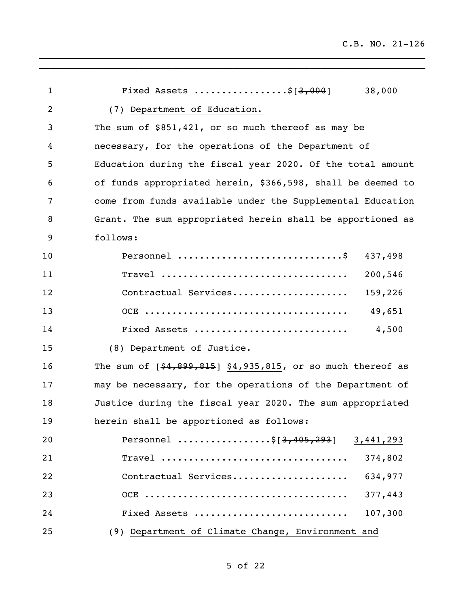| $\mathbf{1}$   | Fixed Assets \$ $[3,000]$<br>38,000                          |
|----------------|--------------------------------------------------------------|
| $\overline{2}$ | (7) Department of Education.                                 |
| 3              | The sum of \$851,421, or so much thereof as may be           |
| 4              | necessary, for the operations of the Department of           |
| 5              | Education during the fiscal year 2020. Of the total amount   |
| 6              | of funds appropriated herein, \$366,598, shall be deemed to  |
| 7              | come from funds available under the Supplemental Education   |
| 8              | Grant. The sum appropriated herein shall be apportioned as   |
| 9              | follows:                                                     |
| 10             | Personnel<br>437,498                                         |
| 11             | 200,546                                                      |
| 12             | Contractual Services<br>159,226                              |
| 13             | 49,651                                                       |
| 14             | 4,500<br>Fixed Assets                                        |
| 15             | (8) Department of Justice.                                   |
| 16             | The sum of $[$4,899,815]$ \$4,935,815, or so much thereof as |
| 17             | may be necessary, for the operations of the Department of    |
| 18             | Justice during the fiscal year 2020. The sum appropriated    |
| 19             | herein shall be apportioned as follows:                      |
| 20             | Personnel \$[3,405,293] 3,441,293                            |
| 21             | Travel<br>374,802                                            |
| 22             | Contractual Services<br>634,977                              |
| 23             | 377,443                                                      |
| 24             | 107,300<br>Fixed Assets                                      |
| 25             | (9) Department of Climate Change, Environment and            |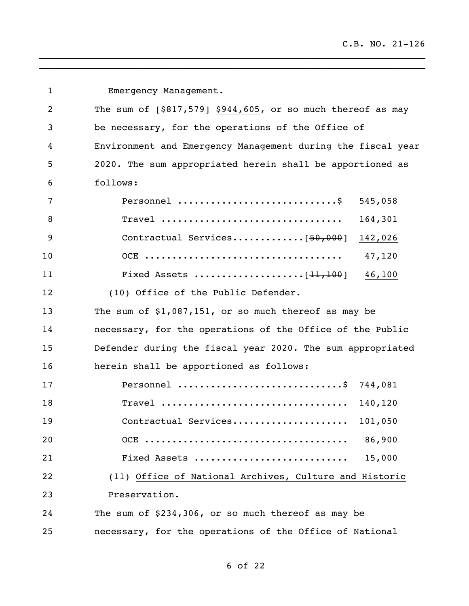| $\mathbf 1$ | Emergency Management.                                        |
|-------------|--------------------------------------------------------------|
| 2           | The sum of $[$817,579]$ \$944,605, or so much thereof as may |
| 3           | be necessary, for the operations of the Office of            |
| 4           | Environment and Emergency Management during the fiscal year  |
| 5           | 2020. The sum appropriated herein shall be apportioned as    |
| 6           | follows:                                                     |
| 7           | 545,058                                                      |
| 8           | 164,301                                                      |
| 9           | Contractual Services $[50,000]$<br>142,026                   |
| 10          | 47,120                                                       |
| 11          | 46,100                                                       |
| 12          | (10) Office of the Public Defender.                          |
| 13          | The sum of $$1,087,151$ , or so much thereof as may be       |
| 14          | necessary, for the operations of the Office of the Public    |
| 15          | Defender during the fiscal year 2020. The sum appropriated   |
| 16          | herein shall be apportioned as follows:                      |
| 17          | Personnel \$ 744,081                                         |
| 18          | $\texttt{Travel}$<br>140,120                                 |
| 19          | Contractual Services<br>101,050                              |
| 20          | 86,900                                                       |
| 21          | 15,000<br>Fixed Assets                                       |
| 22          | (11) Office of National Archives, Culture and Historic       |
| 23          | Preservation.                                                |
| 24          | The sum of \$234,306, or so much thereof as may be           |
| 25          | necessary, for the operations of the Office of National      |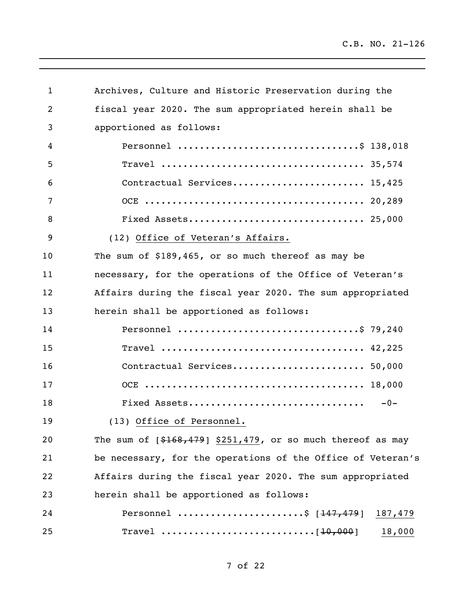| 1  | Archives, Culture and Historic Preservation during the       |
|----|--------------------------------------------------------------|
| 2  | fiscal year 2020. The sum appropriated herein shall be       |
| 3  | apportioned as follows:                                      |
| 4  | Personnel \$ 138,018                                         |
| 5  |                                                              |
| 6  | Contractual Services 15,425                                  |
| 7  |                                                              |
| 8  |                                                              |
| 9  | (12) Office of Veteran's Affairs.                            |
| 10 | The sum of \$189,465, or so much thereof as may be           |
| 11 | necessary, for the operations of the Office of Veteran's     |
| 12 | Affairs during the fiscal year 2020. The sum appropriated    |
| 13 | herein shall be apportioned as follows:                      |
| 14 | Personnel \$ 79,240                                          |
| 15 |                                                              |
| 16 | Contractual Services 50,000                                  |
| 17 |                                                              |
| 18 | Fixed Assets<br>$-0-$                                        |
| 19 | (13) Office of Personnel.                                    |
| 20 | The sum of $[$168,479]$ \$251,479, or so much thereof as may |
| 21 | be necessary, for the operations of the Office of Veteran's  |
| 22 | Affairs during the fiscal year 2020. The sum appropriated    |
| 23 | herein shall be apportioned as follows:                      |
| 24 | Personnel \$ $[147, 479]$ 187,479                            |
| 25 | 18,000                                                       |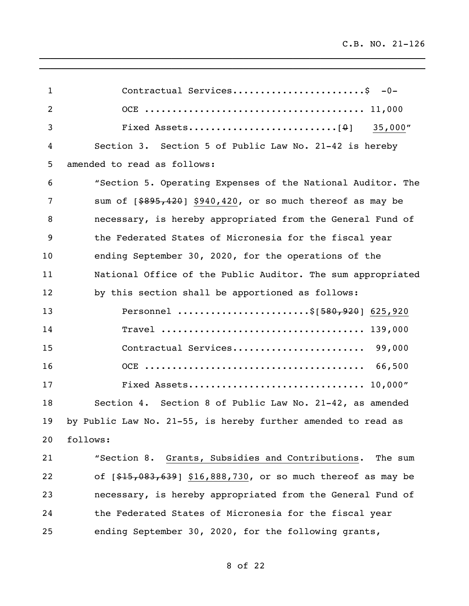| $\mathbf{1}$   | Contractual Services\$ -0-                                    |
|----------------|---------------------------------------------------------------|
| $\overline{2}$ |                                                               |
| 3              |                                                               |
| 4              | Section 3. Section 5 of Public Law No. 21-42 is hereby        |
| 5              | amended to read as follows:                                   |
| 6              | "Section 5. Operating Expenses of the National Auditor. The   |
| $\overline{7}$ | sum of $[$ \$895,420] \$940,420, or so much thereof as may be |
| 8              | necessary, is hereby appropriated from the General Fund of    |
| 9              | the Federated States of Micronesia for the fiscal year        |
| 10             | ending September 30, 2020, for the operations of the          |
| 11             | National Office of the Public Auditor. The sum appropriated   |
| 12             | by this section shall be apportioned as follows:              |
| 13             | Personnel \$[580,920] 625,920                                 |
| 14             |                                                               |
| 15             | Contractual Services 99,000                                   |
| 16             |                                                               |
| 17             |                                                               |
| 18             | Section 4. Section 8 of Public Law No. 21-42, as amended      |
| 19             | by Public Law No. 21-55, is hereby further amended to read as |
| 20             | follows:                                                      |
| 21             | "Section 8. Grants, Subsidies and Contributions. The sum      |
| 22             | of [\$15,083,639] \$16,888,730, or so much thereof as may be  |
| 23             | necessary, is hereby appropriated from the General Fund of    |
| 24             | the Federated States of Micronesia for the fiscal year        |
| 25             | ending September 30, 2020, for the following grants,          |

of 22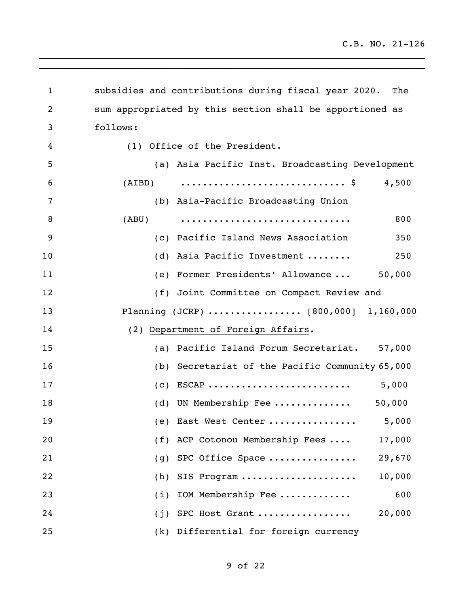| 1  | subsidies and contributions during fiscal year 2020.<br>The |  |
|----|-------------------------------------------------------------|--|
| 2  | sum appropriated by this section shall be apportioned as    |  |
| 3  | follows:                                                    |  |
| 4  | (1) Office of the President.                                |  |
| 5  | (a) Asia Pacific Inst. Broadcasting Development             |  |
| 6  | 4,500                                                       |  |
| 7  | (b) Asia-Pacific Broadcasting Union                         |  |
| 8  | 800<br>(ABU)                                                |  |
| 9  | (c) Pacific Island News Association<br>350                  |  |
| 10 | (d) Asia Pacific Investment<br>250                          |  |
| 11 | (e) Former Presidents' Allowance  50,000                    |  |
| 12 | (f) Joint Committee on Compact Review and                   |  |
| 13 | Planning (JCRP)  [800,000] 1,160,000                        |  |
| 14 | (2) Department of Foreign Affairs.                          |  |
| 15 | (a) Pacific Island Forum Secretariat. 57,000                |  |
| 16 | (b) Secretariat of the Pacific Community 65,000             |  |
| 17 |                                                             |  |
| 18 | 50,000<br>(d) UN Membership Fee                             |  |
| 19 | 5,000<br>(e) East West Center                               |  |
| 20 | (f) ACP Cotonou Membership Fees<br>17,000                   |  |
| 21 | SPC Office Space<br>29,670<br>(g)                           |  |
| 22 | 10,000<br>(h)<br>SIS Program                                |  |
| 23 | 600<br>IOM Membership Fee<br>(i)                            |  |
| 24 | 20,000<br>SPC Host Grant<br>(j)                             |  |
| 25 | Differential for foreign currency<br>(k)                    |  |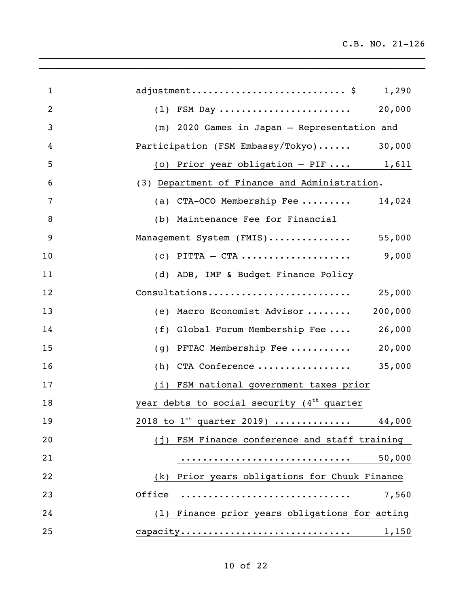| $\mathbf{1}$   | adjustment $\S$ 1,290                                  |
|----------------|--------------------------------------------------------|
| $\overline{2}$ | $(1)$ FSM Day<br>20,000                                |
| 3              | (m) 2020 Games in Japan - Representation and           |
| 4              | Participation (FSM Embassy/Tokyo)<br>30,000            |
| 5              | (o) Prior year obligation $-$ PIF  1,611               |
| 6              | (3) Department of Finance and Administration.          |
| 7              | (a) CTA-OCO Membership Fee<br>14,024                   |
| 8              | (b) Maintenance Fee for Financial                      |
| 9              | Management System (FMIS) 55,000                        |
| 10             | $(c)$ PITTA - CTA<br>9,000                             |
| 11             | (d) ADB, IMF & Budget Finance Policy                   |
| 12             | Consultations<br>25,000                                |
| 13             | 200,000<br>(e) Macro Economist Advisor                 |
| 14             | (f) Global Forum Membership Fee<br>26,000              |
| 15             | 20,000<br>(g) PFTAC Membership Fee                     |
| 16             | $(h)$ CTA Conference<br>35,000                         |
| 17             | (i) FSM national government taxes prior                |
| 18             | year debts to social security (4 <sup>th</sup> quarter |
| 19             | $2018$ to $1^{st}$ quarter 2019)<br>44,000             |
| 20             | (j) FSM Finance conference and staff training          |
| 21             | 50,000                                                 |
| 22             | Prior years obligations for Chuuk Finance<br>(k)       |
| 23             | Office<br>7,560                                        |
| 24             | Finance prior years obligations for acting<br>(1)      |
| 25             | capacity<br>1,150                                      |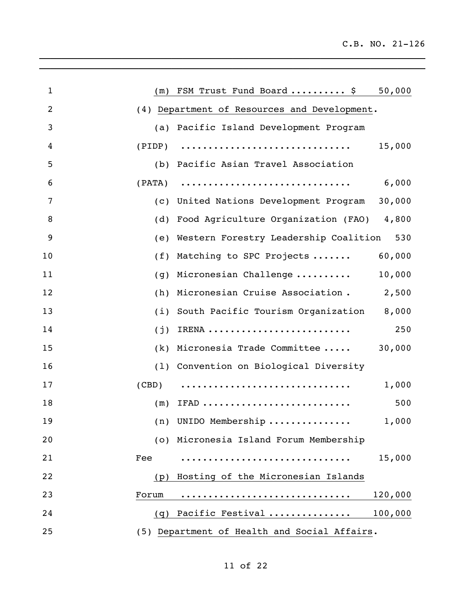| $\mathbf{1}$   | 50,000<br>$(m)$ FSM Trust Fund Board  \$                                                       |
|----------------|------------------------------------------------------------------------------------------------|
| $\overline{2}$ | (4) Department of Resources and Development.                                                   |
| 3              | (a) Pacific Island Development Program                                                         |
| 4              | $(PIDP) \quad \ldots \ldots \ldots \ldots \ldots \ldots \ldots \ldots \ldots \ldots$<br>15,000 |
| 5              | (b) Pacific Asian Travel Association                                                           |
| 6              | 6,000                                                                                          |
| 7              | (c) United Nations Development Program<br>30,000                                               |
| 8              | (d) Food Agriculture Organization (FAO) 4,800                                                  |
| 9              | 530<br>(e) Western Forestry Leadership Coalition                                               |
| 10             | (f) Matching to SPC Projects<br>60,000                                                         |
| 11             | 10,000<br>$(q)$ Micronesian Challenge                                                          |
| 12             | (h) Micronesian Cruise Association. 2,500                                                      |
| 13             | (i) South Pacific Tourism Organization<br>8,000                                                |
| 14             | 250<br>$(j)$ IRENA                                                                             |
| 15             | (k) Micronesia Trade Committee<br>30,000                                                       |
| 16             | (1) Convention on Biological Diversity                                                         |
| 17             | (CBD)<br>1,000                                                                                 |
| 18             | 500<br>$(m)$ IFAD                                                                              |
| 19             | (n) UNIDO Membership<br>1,000                                                                  |
| 20             | (o) Micronesia Island Forum Membership                                                         |
| 21             | 15,000<br>Fee                                                                                  |
| 22             | Hosting of the Micronesian Islands<br>(p)                                                      |
| 23             | 120,000<br>Forum                                                                               |
| 24             | 100,000<br>Pacific Festival<br>(q)                                                             |
| 25             | (5) Department of Health and Social Affairs.                                                   |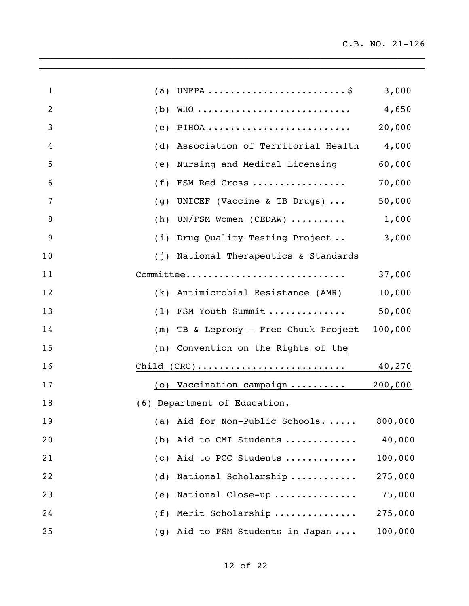| $\mathbf{1}$   |                                                                       | 3,000   |
|----------------|-----------------------------------------------------------------------|---------|
| $\overline{2}$ | (b)                                                                   | 4,650   |
| 3              | PIHOA<br>(C)                                                          | 20,000  |
| 4              | Association of Territorial Health 4,000<br>(d)                        |         |
| 5              | Nursing and Medical Licensing<br>(e)                                  | 60,000  |
| 6              | FSM Red Cross<br>(f)                                                  | 70,000  |
| 7              | UNICEF (Vaccine & TB Drugs) $\ldots$<br>(g)                           | 50,000  |
| 8              | (h) UN/FSM Women (CEDAW) $\ldots \ldots$                              | 1,000   |
| 9              | (i) Drug Quality Testing Project                                      | 3,000   |
| 10             | (j) National Therapeutics & Standards                                 |         |
| 11             | Committee                                                             | 37,000  |
| 12             | (k) Antimicrobial Resistance (AMR)                                    | 10,000  |
| 13             | (1) FSM Youth Summit                                                  | 50,000  |
| 14             | (m) TB & Leprosy - Free Chuuk Project                                 | 100,000 |
| 15             | (n) Convention on the Rights of the                                   |         |
| 16             | $Child (CRC) \ldots \ldots \ldots \ldots \ldots \ldots \ldots \ldots$ | 40,270  |
| 17             | (o) Vaccination campaign                                              | 200,000 |
| 18             | (6) Department of Education.                                          |         |
| 19             | (a) Aid for Non-Public Schools                                        | 800,000 |
| 20             | Aid to CMI Students<br>(b)                                            | 40,000  |
| 21             | Aid to PCC Students<br>(C)                                            | 100,000 |
| 22             | National Scholarship<br>(d)                                           | 275,000 |
| 23             | National Close-up<br>(e)                                              | 75,000  |
| 24             | Merit Scholarship<br>(f)                                              | 275,000 |
| 25             | Aid to FSM Students in Japan<br>(g)                                   | 100,000 |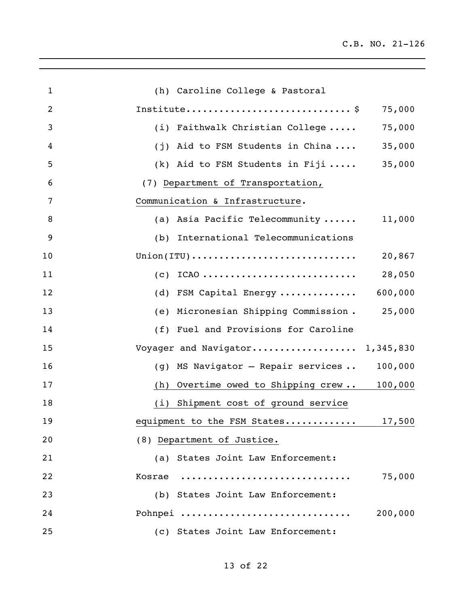| $\mathbf{1}$   | (h) Caroline College & Pastoral                                                       |
|----------------|---------------------------------------------------------------------------------------|
| $\overline{2}$ | 75,000                                                                                |
| 3              | (i) Faithwalk Christian College<br>75,000                                             |
| 4              | (j) Aid to FSM Students in China<br>35,000                                            |
| 5              | (k) Aid to FSM Students in Fiji<br>35,000                                             |
| 6              | (7) Department of Transportation,                                                     |
| 7              | Communication & Infrastructure.                                                       |
| 8              | (a) Asia Pacific Telecommunity<br>11,000                                              |
| 9              | (b) International Telecommunications                                                  |
| 10             | $Union(TTU) \ldots \ldots \ldots \ldots \ldots \ldots \ldots \ldots \ldots$<br>20,867 |
| 11             | $(c)$ ICAO<br>28,050                                                                  |
| 12             | 600,000<br>(d) FSM Capital Energy                                                     |
| 13             | (e) Micronesian Shipping Commission.<br>25,000                                        |
| 14             | (f) Fuel and Provisions for Caroline                                                  |
| 15             | Voyager and Navigator 1,345,830                                                       |
| 16             | MS Navigator - Repair services<br>100,000<br>(g)                                      |
| 17             | Overtime owed to Shipping crew 100,000<br>(h)                                         |
| 18             | Shipment cost of ground service<br>(i)                                                |
| 19             | equipment to the FSM States<br>17,500                                                 |
| 20             | (8) Department of Justice.                                                            |
| 21             | (a) States Joint Law Enforcement:                                                     |
| 22             | 75,000<br>Kosrae<br>. <b>.</b>                                                        |
| 23             | (b) States Joint Law Enforcement:                                                     |
| 24             | 200,000<br>Pohnpei                                                                    |
| 25             | (c) States Joint Law Enforcement:                                                     |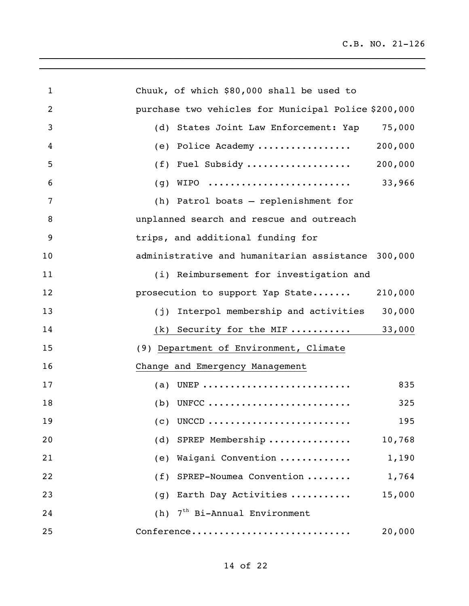| $\mathbf{1}$   | Chuuk, of which \$80,000 shall be used to            |
|----------------|------------------------------------------------------|
| $\overline{2}$ | purchase two vehicles for Municipal Police \$200,000 |
| 3              | 75,000<br>(d) States Joint Law Enforcement: Yap      |
| 4              | 200,000<br>(e) Police Academy                        |
| 5              | (f) Fuel Subsidy<br>200,000                          |
| 6              | 33,966                                               |
| 7              | (h) Patrol boats - replenishment for                 |
| 8              | unplanned search and rescue and outreach             |
| 9              | trips, and additional funding for                    |
| 10             | administrative and humanitarian assistance 300,000   |
| 11             | (i) Reimbursement for investigation and              |
| 12             | prosecution to support Yap State<br>210,000          |
| 13             | (j) Interpol membership and activities<br>30,000     |
| 14             | 33,000<br>$(k)$ Security for the MIF                 |
| 15             | (9) Department of Environment, Climate               |
| 16             | Change and Emergency Management                      |
| 17             | (a) UNEP<br>835                                      |
| 18             | $(b)$ UNFCC<br>325                                   |
| 19             | 195<br>$(c)$ UNCCD                                   |
| 20             | SPREP Membership<br>10,768<br>(d)                    |
| 21             | Waigani Convention<br>1,190<br>(e)                   |
| 22             | SPREP-Noumea Convention<br>1,764<br>(f)              |
| 23             | 15,000<br>Earth Day Activities<br>(g)                |
| 24             | 7 <sup>th</sup> Bi-Annual Environment<br>(h)         |
| 25             | Conference<br>20,000                                 |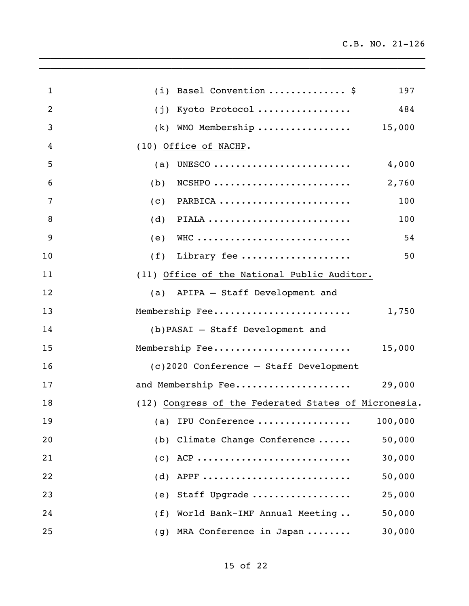| $\mathbf{1}$   | (i) Basel Convention  \$                             | 197     |
|----------------|------------------------------------------------------|---------|
| $\overline{2}$ | (j) Kyoto Protocol                                   | 484     |
| 3              | $(k)$ WMO Membership 15,000                          |         |
| 4              | (10) Office of NACHP.                                |         |
| 5              | (a) UNESCO                                           | 4,000   |
| 6              | $NCSHPO$<br>(b)                                      | 2,760   |
| 7              | (c)<br>PARBICA                                       | 100     |
| 8              | PIALA<br>(d)                                         | 100     |
| 9              | WHC<br>(e)                                           | 54      |
| 10             | Library fee<br>(f)                                   | 50      |
| 11             | (11) Office of the National Public Auditor.          |         |
| 12             | (a) APIPA - Staff Development and                    |         |
| 13             | Membership Fee                                       | 1,750   |
| 14             | (b) PASAI - Staff Development and                    |         |
| 15             | Membership Fee                                       | 15,000  |
| 16             | (c)2020 Conference - Staff Development               |         |
| 17             | and Membership Fee                                   | 29,000  |
| 18             | (12) Congress of the Federated States of Micronesia. |         |
| 19             | (a) IPU Conference                                   | 100,000 |
| 20             | (b) Climate Change Conference                        | 50,000  |
| 21             | (C)                                                  | 30,000  |
| 22             | APPF<br>(d)                                          | 50,000  |
| 23             | Staff Upgrade<br>(e)                                 | 25,000  |
| 24             | World Bank-IMF Annual Meeting<br>(f)                 | 50,000  |
| 25             | MRA Conference in Japan<br>(g)                       | 30,000  |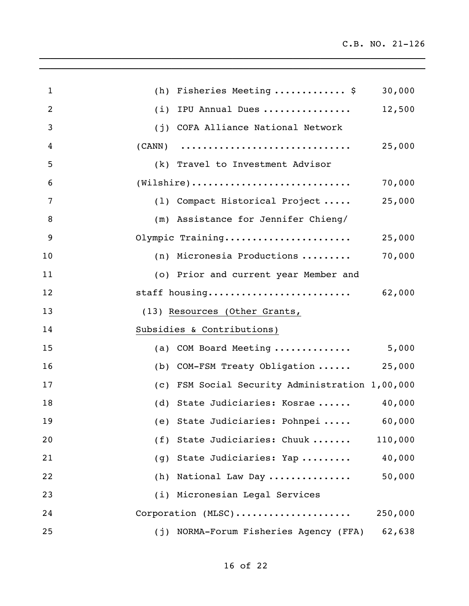| $\mathbf{1}$   | (h) Fisheries Meeting  \$                                                    | 30,000  |
|----------------|------------------------------------------------------------------------------|---------|
| $\overline{2}$ | (i) IPU Annual Dues                                                          | 12,500  |
| 3              | (j) COFA Alliance National Network                                           |         |
| 4              |                                                                              | 25,000  |
| 5              | (k) Travel to Investment Advisor                                             |         |
| 6              | $(\texttt{Wilsonire}) \dots \dots \dots \dots \dots \dots \dots \dots \dots$ | 70,000  |
| $\overline{7}$ | (1) Compact Historical Project                                               | 25,000  |
| 8              | (m) Assistance for Jennifer Chieng/                                          |         |
| 9              | Olympic Training                                                             | 25,000  |
| 10             | (n) Micronesia Productions                                                   | 70,000  |
| 11             | (o) Prior and current year Member and                                        |         |
| 12             | staff housing                                                                | 62,000  |
| 13             | (13) Resources (Other Grants,                                                |         |
| 14             | Subsidies & Contributions)                                                   |         |
| 15             | (a) COM Board Meeting $5,000$                                                |         |
| 16             | (b) COM-FSM Treaty Obligation  25,000                                        |         |
| 17             | (c) FSM Social Security Administration 1,00,000                              |         |
| 18             | (d) State Judiciaries: Kosrae  40,000                                        |         |
| 19             | (e) State Judiciaries: Pohnpei                                               | 60,000  |
| 20             | State Judiciaries: Chuuk<br>(f)                                              | 110,000 |
| 21             | State Judiciaries: Yap<br>(g)                                                | 40,000  |
| 22             | National Law Day<br>(h)                                                      | 50,000  |
| 23             | (i) Micronesian Legal Services                                               |         |
| 24             | Corporation (MLSC)                                                           | 250,000 |
| 25             | NORMA-Forum Fisheries Agency (FFA)<br>(j)                                    | 62,638  |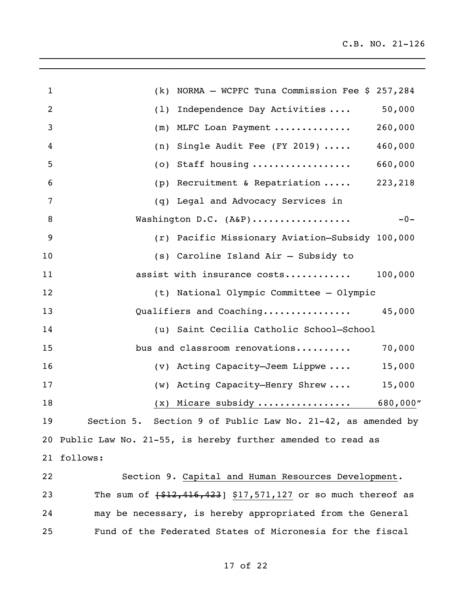| $\mathbf{1}$   | (k) NORMA - WCPFC Tuna Commission Fee $$257,284$                    |
|----------------|---------------------------------------------------------------------|
| $\overline{2}$ | (1) Independence Day Activities<br>50,000                           |
| 3              | (m) MLFC Loan Payment<br>260,000                                    |
| 4              | (n) Single Audit Fee (FY 2019) $\cdots$<br>460,000                  |
| 5              | $(o)$ Staff housing<br>660,000                                      |
| 6              | (p) Recruitment & Repatriation  223,218                             |
| 7              | (q) Legal and Advocacy Services in                                  |
| 8              | Washington D.C. (A&P)<br>$-0-$                                      |
| 9              | (r) Pacific Missionary Aviation-Subsidy 100,000                     |
| 10             | (s) Caroline Island Air - Subsidy to                                |
| 11             | 100,000<br>assist with insurance costs                              |
| 12             | (t) National Olympic Committee - Olympic                            |
| 13             | Qualifiers and Coaching<br>45,000                                   |
| 14             | (u) Saint Cecilia Catholic School-School                            |
| 15             | bus and classroom renovations<br>70,000                             |
| 16             | (v) Acting Capacity-Jeem Lippwe<br>15,000                           |
| 17             | (w) Acting Capacity-Henry Shrew<br>15,000                           |
| 18             | $(x)$ Micare subsidy  680,000"                                      |
| 19             | Section 9 of Public Law No. 21-42, as amended by<br>Section 5.      |
|                | 20 Public Law No. 21-55, is hereby further amended to read as       |
| 21             | follows:                                                            |
| 22             | Section 9. Capital and Human Resources Development.                 |
| 23             | The sum of $\{ $12, 416, 423 \}$ \$17,571,127 or so much thereof as |
| 24             | may be necessary, is hereby appropriated from the General           |
| 25             | Fund of the Federated States of Micronesia for the fiscal           |

of 22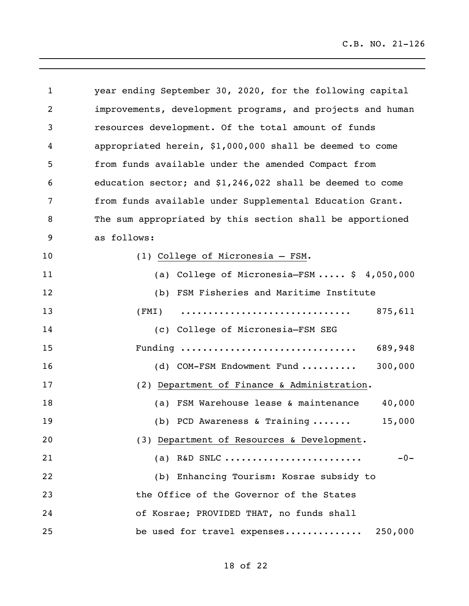| 1  | year ending September 30, 2020, for the following capital  |
|----|------------------------------------------------------------|
| 2  | improvements, development programs, and projects and human |
| 3  | resources development. Of the total amount of funds        |
| 4  | appropriated herein, \$1,000,000 shall be deemed to come   |
| 5  | from funds available under the amended Compact from        |
| 6  | education sector; and $$1,246,022$ shall be deemed to come |
| 7  | from funds available under Supplemental Education Grant.   |
| 8  | The sum appropriated by this section shall be apportioned  |
| 9  | as follows:                                                |
| 10 | (1) College of Micronesia - FSM.                           |
| 11 | (a) College of Micronesia-FSM $$4,050,000$                 |
| 12 | (b) FSM Fisheries and Maritime Institute                   |
| 13 | 875,611<br>(FMI)                                           |
| 14 | (c) College of Micronesia-FSM SEG                          |
| 15 | Funding<br>689,948                                         |
| 16 | 300,000<br>(d) COM-FSM Endowment Fund                      |
| 17 | (2) Department of Finance & Administration.                |
| 18 | (a) FSM Warehouse lease & maintenance<br>40,000            |
| 19 | (b) PCD Awareness & Training<br>15,000                     |
| 20 | (3) Department of Resources & Development.                 |
| 21 | (a) R&D SNLC<br>$-0-$                                      |
| 22 | (b) Enhancing Tourism: Kosrae subsidy to                   |
| 23 | the Office of the Governor of the States                   |
| 24 | of Kosrae; PROVIDED THAT, no funds shall                   |
| 25 | be used for travel expenses<br>250,000                     |

of 22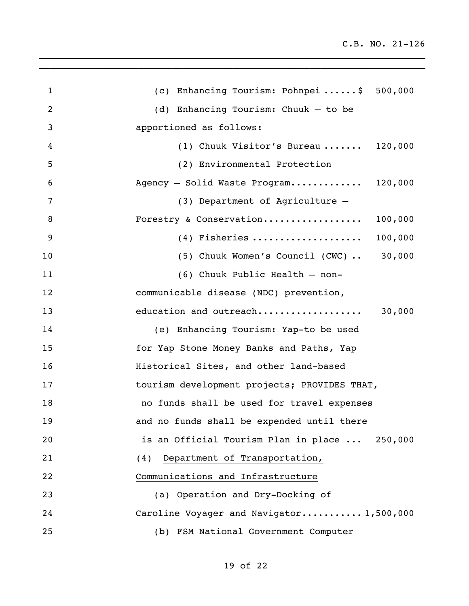| $\mathbf{1}$ | (c) Enhancing Tourism: Pohnpei\$ 500,000      |
|--------------|-----------------------------------------------|
| 2            | (d) Enhancing Tourism: Chuuk - to be          |
| 3            | apportioned as follows:                       |
| 4            | (1) Chuuk Visitor's Bureau $120,000$          |
| 5            | (2) Environmental Protection                  |
| 6            | Agency - Solid Waste Program 120,000          |
| 7            | (3) Department of Agriculture -               |
| 8            | Forestry & Conservation 100,000               |
| 9            | $(4)$ Fisheries<br>100,000                    |
| 10           | (5) Chuuk Women's Council (CWC)  30,000       |
| 11           | (6) Chuuk Public Health - non-                |
| 12           | communicable disease (NDC) prevention,        |
| 13           | 30,000<br>education and outreach              |
| 14           | (e) Enhancing Tourism: Yap-to be used         |
| 15           | for Yap Stone Money Banks and Paths, Yap      |
| 16           | Historical Sites, and other land-based        |
| 17           | tourism development projects; PROVIDES THAT,  |
| 18           | no funds shall be used for travel expenses    |
| 19           | and no funds shall be expended until there    |
| 20           | is an Official Tourism Plan in place  250,000 |
| 21           | Department of Transportation,<br>(4)          |
| 22           | Communications and Infrastructure             |
| 23           | (a) Operation and Dry-Docking of              |
| 24           | Caroline Voyager and Navigator 1,500,000      |
| 25           | (b) FSM National Government Computer          |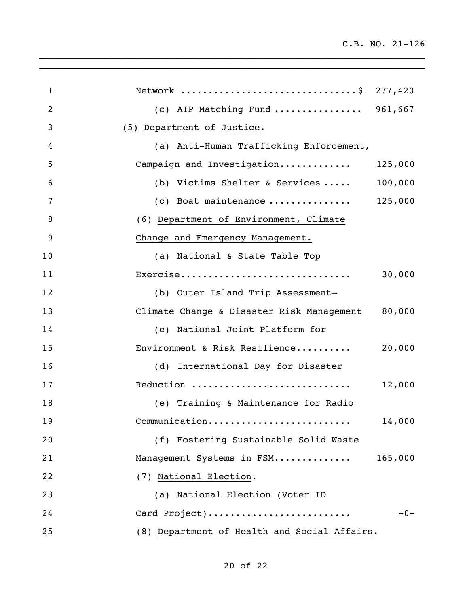| $\mathbf 1$    | Network \$ 277,420                           |         |
|----------------|----------------------------------------------|---------|
| $\overline{2}$ | (c) AIP Matching Fund  961,667               |         |
| 3              | (5) Department of Justice.                   |         |
| 4              | (a) Anti-Human Trafficking Enforcement,      |         |
| 5              | Campaign and Investigation                   | 125,000 |
| 6              | (b) Victims Shelter & Services $100,000$     |         |
| 7              | (c) Boat maintenance $125,000$               |         |
| 8              | (6) Department of Environment, Climate       |         |
| 9              | Change and Emergency Management.             |         |
| 10             | (a) National & State Table Top               |         |
| 11             | Exercise                                     | 30,000  |
| 12             | (b) Outer Island Trip Assessment-            |         |
| 13             | Climate Change & Disaster Risk Management    | 80,000  |
| 14             | (c) National Joint Platform for              |         |
| 15             | Environment & Risk Resilience                | 20,000  |
| 16             | (d) International Day for Disaster           |         |
| 17             | Reduction                                    | 12,000  |
| 18             | (e) Training & Maintenance for Radio         |         |
| 19             | Communication                                | 14,000  |
| 20             | (f) Fostering Sustainable Solid Waste        |         |
| 21             | Management Systems in FSM                    | 165,000 |
| 22             | (7) National Election.                       |         |
| 23             | (a) National Election (Voter ID              |         |
| 24             | Card Project)                                | $-0-$   |
| 25             | (8) Department of Health and Social Affairs. |         |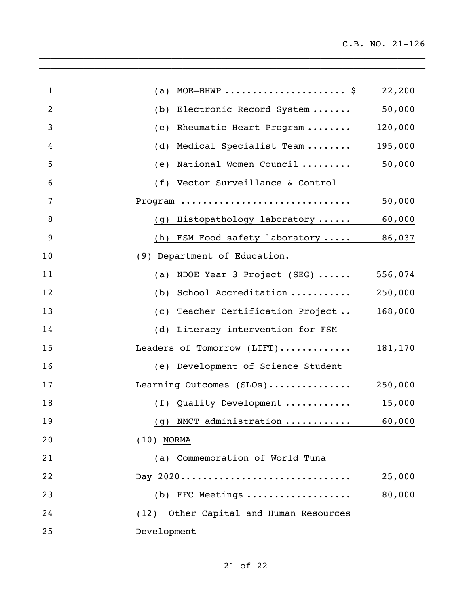| $\mathbf{1}$ | (a) MOE-BHWP  \$                                      | 22,200  |
|--------------|-------------------------------------------------------|---------|
| 2            | (b) Electronic Record System                          | 50,000  |
| 3            | (c) Rheumatic Heart Program                           | 120,000 |
| 4            | Medical Specialist Team<br>(d)                        | 195,000 |
| 5            | (e) National Women Council                            | 50,000  |
| 6            | (f) Vector Surveillance & Control                     |         |
| 7            | Program                                               | 50,000  |
| 8            | (g) Histopathology laboratory                         | 60,000  |
| 9            | (h) FSM Food safety laboratory  86,037                |         |
| 10           | (9) Department of Education.                          |         |
| 11           | (a) NDOE Year 3 Project (SEG) $\cdots$                | 556,074 |
| 12           | (b) School Accreditation                              | 250,000 |
| 13           | (c) Teacher Certification Project                     | 168,000 |
| 14           | (d) Literacy intervention for FSM                     |         |
| 15           | Leaders of Tomorrow (LIFT)                            | 181,170 |
| 16           | (e) Development of Science Student                    |         |
| 17           | Learning Outcomes (SLOs)                              | 250,000 |
| 18           | (f) Quality Development $\ldots \ldots \ldots$ 15,000 |         |
| 19           | (g) NMCT administration                               | 60,000  |
| 20           | $(10)$ NORMA                                          |         |
| 21           | (a) Commemoration of World Tuna                       |         |
| 22           | Day 2020                                              | 25,000  |
| 23           | $(b)$ FFC Meetings                                    | 80,000  |
| 24           | Other Capital and Human Resources<br>(12)             |         |
| 25           | Development                                           |         |